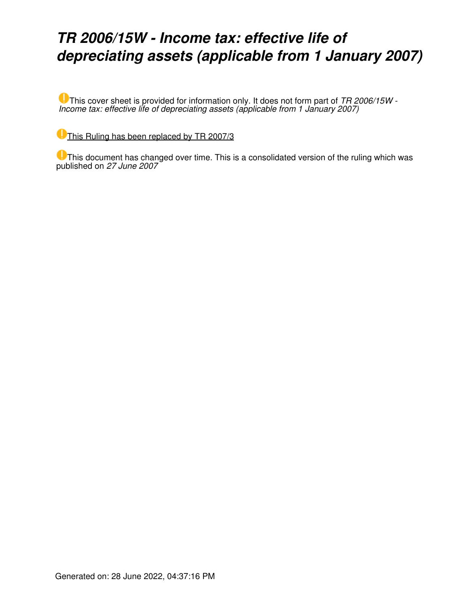## *TR 2006/15W - Income tax: effective life of depreciating assets (applicable from 1 January 2007)*

This cover sheet is provided for information only. It does not form part of *TR 2006/15W - Income tax: effective life of depreciating assets (applicable from 1 January 2007)*

[This Ruling has been replaced by TR 2007/3](https://www.ato.gov.au/law/view/document?LocID=%22TXR%2FTR20073%2FNAT%2FATO%22&PiT=20120627000001)

This document has changed over time. This is a consolidated version of the ruling which was published on *27 June 2007*